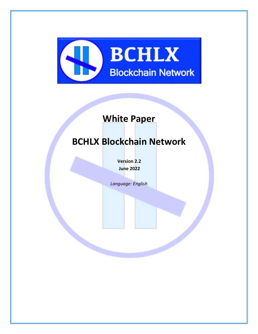

# **White Paper**

# **BCHLX Blockchain Network**

**Version 2.2 June 2022**

*Language: English*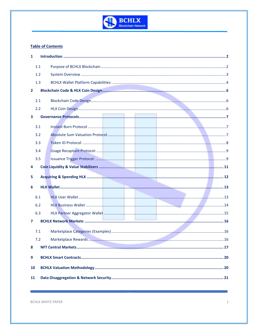

#### **Table of Contents**

| 1            |     |  |
|--------------|-----|--|
|              | 1.1 |  |
|              | 1.2 |  |
|              | 1.3 |  |
| $\mathbf{2}$ |     |  |
|              | 2.1 |  |
|              | 2.2 |  |
| 3            |     |  |
|              | 3.1 |  |
|              | 3.2 |  |
|              | 3.3 |  |
|              | 3.4 |  |
|              | 3.5 |  |
|              |     |  |
| 4            |     |  |
| 5            |     |  |
| 6            |     |  |
|              | 6.1 |  |
|              | 6.2 |  |
|              | 6.3 |  |
| 7            |     |  |
|              | 7.1 |  |
|              | 7.2 |  |
| 8            |     |  |
|              |     |  |
| 9            |     |  |
| 10           |     |  |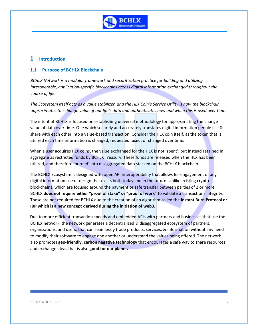

## <span id="page-2-0"></span>**1 Introduction**

### <span id="page-2-1"></span>**1.1 Purpose of BCHLX Blockchain**

*BCHLX Network is a modular framework and securitization practice for building and utilizing interoperable, application-specific blockchains across digital information exchanged throughout the course of life.* 

*The Ecosystem itself acts as a value stabilizer, and the HLX Coin's Service Utility is how the blockchain approximates the change value of our life's data and authenticates how and when this is used over time.*

The intent of BCHLX is focused on establishing universal methodology for approximating the change value of data over time. One which securely and accurately translates digital information people use & share with each other into a value-based transaction. Consider the HLX coin itself, as the token that is utilized each time information is changed, requested, used, or changed over time.

When a user acquires HLX coins, the value exchanged for the HLX is not 'spent', but instead retained in aggregate as restricted funds by BCHLX Treasury. These funds are released when the HLX has been utilized, and therefore 'burned' into disaggregated data stacked on the BCHLX blockchain.

The BCHLX Ecosystem is designed with open API interoperability that allows for engagement of any digital information use or design that exists both today and in the future. Unlike existing crypto blockchains, which are focused around the payment or safe transfer between parties of 2 or more, BCHLX **does not require either "proof of stake" or "proof of work"** to validate a transactions integrity. These are not required for BCHLX due to the creation of an algorithm called the **Instant Burn Protocol or IBP which is a new concept derived during the initiation of web3.**

Due to more efficient transaction speeds and embedded APIs with partners and businesses that use the BCHLX network, the network generates a decentralized & disaggregated ecosystem of partners, organizations, and users, that can seamlessly trade products, services, & information without any need to modify their software to engage one another or understand the values being offered. The network also promotes **geo-friendly, carbon negative technology** that encourages a safe way to share resources and exchange ideas that is also **good for our planet.**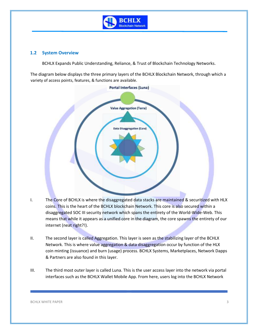

#### <span id="page-3-0"></span>**1.2 System Overview**

BCHLX Expands Public Understanding, Reliance, & Trust of Blockchain Technology Networks.

The diagram below displays the three primary layers of the BCHLX Blockchain Network, through which a variety of access points, features, & functions are available.



- I. The Core of BCHLX is where the disaggregated data stacks are maintained & securitized with HLX coins. This is the heart of the BCHLX blockchain Network. This core is also secured within a disaggregated SOC III security network which spans the entirety of the World-Wide-Web. This means that while it appears as a unified core in the diagram, the core spawns the entirety of our internet (neat right?!).
- II. The second layer is called Aggregation. This layer is seen as the stabilizing layer of the BCHLX Network. This is where value aggregation & data disaggregation occur by function of the HLX coin minting (issuance) and burn (usage) process. BCHLX Systems, Marketplaces, Network Dapps & Partners are also found in this layer.
- III. The third most outer layer is called Luna. This is the user access layer into the network via portal interfaces such as the BCHLX Wallet Mobile App. From here, users log into the BCHLX Network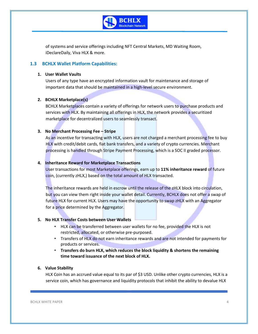

of systems and service offerings including NFT Central Markets, MD Waiting Room, iDeclareDaily, Viva HLX & more.

#### <span id="page-4-0"></span>**1.3 BCHLX Wallet Platform Capabilities:**

#### **1. User Wallet Vaults**

Users of any type have an encrypted information vault for maintenance and storage of important data that should be maintained in a high-level secure environment.

#### **2. BCHLX Marketplace(s)**

BCHLX Marketplaces contain a variety of offerings for network users to purchase products and services with HLX. By maintaining all offerings in HLX, the network provides a securitized marketplace for decentralized users to seamlessly transact.

#### **3. No Merchant Processing Fee – Stripe**

As an incentive for transacting with HLX, users are not charged a merchant processing fee to buy HLX with credit/debit cards, fiat bank transfers, and a variety of crypto currencies. Merchant processing is handled through Stripe Payment Processing, which is a SOC II graded processor.

#### **4. Inheritance Reward for Marketplace Transactions**

User transactions for most Marketplace offerings, earn up to **11% inheritance reward** of future coin, (currently zHLX,) based on the total amount of HLX transacted.

The inheritance rewards are held in escrow until the release of the zHLX block into circulation, but you can view them right inside your wallet detail. Currently, BCHLX does not offer a swap of future HLX for current HLX. Users may have the opportunity to swap zHLX with an Aggregator for a price determined by the Aggregator.

#### **5. No HLX Transfer Costs between User Wallets**

- **.** HLX can be transferred between user wallets for no fee, provided the HLX is not restricted, allocated, or otherwise pre-purposed.
- Transfers of HLX do not earn inheritance rewards and are not intended for payments for products or services.
- **Transfers do burn HLX, which reduces the block liquidity & shortens the remaining time toward issuance of the next block of HLX.**

#### **6. Value Stability**

HLX Coin has an accrued value equal to its par of \$3 USD. Unlike other crypto currencies, HLX is a service coin, which has governance and liquidity protocols that inhibit the ability to devalue HLX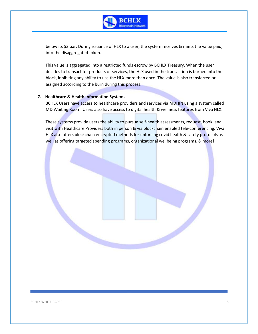

below its \$3 par. During issuance of HLX to a user, the system receives & mints the value paid, into the disaggregated token.

This value is aggregated into a restricted funds escrow by BCHLX Treasury. When the user decides to transact for products or services, the HLX used in the transaction is burned into the block, inhibiting any ability to use the HLX more than once. The value is also transferred or assigned according to the burn during this process.

#### **7. Healthcare & Health Information Systems**

BCHLX Users have access to healthcare providers and services via MDHIN using a system called MD Waiting Room. Users also have access to digital health & wellness features from Viva HLX.

These systems provide users the ability to pursue self-health assessments, request, book, and visit with Healthcare Providers both in person & via blockchain enabled tele-conferencing. Viva HLX also offers blockchain encrypted methods for enforcing covid health & safety protocols as well as offering targeted spending programs, organizational wellbeing programs, & more!

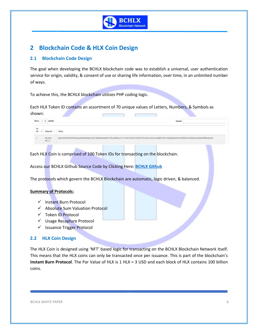

# <span id="page-6-0"></span>**2 Blockchain Code & HLX Coin Design**

### <span id="page-6-1"></span>**2.1 Blockchain Code Design**

The goal when developing the BCHLX blockchain code was to establish a universal, user authentication service for origin, validity, & consent of use or sharing life information, over time, in an unlimited number of ways.

To achieve this, the BCHLX blockchain utilizes PHP coding logic.

Each HLX Token ID contains an assortment of 70 unique values of Letters, Numbers, & Symbols as shown: n. **Contract Contract Contract** 

|   | il p entries<br>the property of the con- |                        |                                                                                                                                                                                                                                                                                                                                                                                  |  |  |  |
|---|------------------------------------------|------------------------|----------------------------------------------------------------------------------------------------------------------------------------------------------------------------------------------------------------------------------------------------------------------------------------------------------------------------------------------------------------------------------|--|--|--|
| × |                                          | <b>Heiguest</b>        | Token                                                                                                                                                                                                                                                                                                                                                                            |  |  |  |
|   |                                          | <b>My New</b><br>NFE 2 | NiZbcW9GRJRDN094ZnpwWznd9D0dLAVG8TWp8AWcadWVtYTRLeWBEbrtZITFVnNZFoK3KJVTAGNTITWnZ3czFuSiLy1kibd90YnNUT0g2Qrdai4F0cEZWM1siD02dGDa2MxRZVRGasbCLF<br>The SACRA TELEVISION CONTROLLY IN A SECOND OF A SECOND ACTIVITY OF THE CONSULTING OF THE SACRA CONSULTING ON THE SACRA TELEVISION OF THE SACRA TELEVISION OF THE SACRA TELEVISION OF THE SACRA TELEVISION OF THE SACRA TELEVIS |  |  |  |

Each HLX Coin is comprised of 100 Token IDs for transacting on the blockchain.

Access our BCHLX Github Source Code by Clicking Here: **BCHLX Github**

The protocols which govern the BCHLX Blockchain are automatic, logic driven, & balanced.

#### **Summary of Protocols:**

- ✓ Instant Burn Protocol
- ✓ Absolute Sum Valuation Protocol
- ✓ Token ID Protocol
- ✓ Usage Recapture Protocol
- ✓ Issuance Trigger Protocol

### <span id="page-6-2"></span>**2.2 HLX Coin Design**

The HLX Coin is designed using 'NFT' based logic for transacting on the BCHLX Blockchain Network itself. This means that the HLX coins can only be transacted once per issuance. This is part of the blockchain's **Instant Burn Protocol**. The Par Value of HLX is 1 HLX = 3 USD and each block of HLX contains 100 billion coins.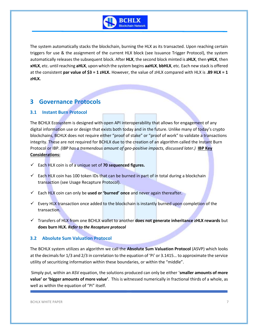

The system automatically stacks the blockchain, burning the HLX as its transacted. Upon reaching certain triggers for use & the assignment of the current HLX block (see Issuance Trigger Protocol), the system automatically releases the subsequent block. After **HLX**, the second block minted is **zHLX**, then **yHLX**, then **xHLX**, etc. until reaching **aHLX**, upon which the system begins **aaHLX**, **bbHLX**, etc. Each new stack is offered at the consistent **par value of \$3 = 1 zHLX.** However, the value of zHLX compared with HLX is **.89 HLX = 1 zHLX.** 

# <span id="page-7-0"></span>**3 Governance Protocols**

### <span id="page-7-1"></span>**3.1 Instant Burn Protocol**

The BCHLX Ecosystem is designed with open API interoperability that allows for engagement of any digital information use or design that exists both today and in the future. Unlike many of today's crypto blockchains, BCHLX does not require either "proof of stake" or "proof of work" to validate a transactions integrity. These are not required for BCHLX due to the creation of an algorithm called the Instant Burn Protocol or IBP. *(IBP has a tremendous amount of geo-positive impacts, discussed later.)* **IBP Key Considerations:**

- ✓ Each HLX coin is of a unique set of **70 sequenced figures.**
- $\checkmark$  Each HLX coin has 100 token IDs that can be burned in part of in total during a blockchain transaction (see Usage Recapture Protocol).
- ✓ Each HLX coin can only be **used or 'burned' once** and never again thereafter.
- $\checkmark$  Every HLX transaction once added to the blockchain is instantly burned upon completion of the transaction.
- ✓ Transfers of HLX from one BCHLX wallet to another **does not generate inheritance zHLX rewards** but **does burn HLX.** *Refer to the Recapture protocol*

#### <span id="page-7-2"></span>**3.2 Absolute Sum Valuation Protocol**

The BCHLX system utilizes an algorithm we call the **Absolute Sum Valuation Protocol** (ASVP) which looks at the decimals for 1/3 and 2/3 in correlation to the equation of 'Pi' or 3.1415… to approximate the service utility of securitizing information within these boundaries, or within the "middle".

Simply put, within an ASV equation, the solutions produced can only be either '**smaller amounts of more value' or 'bigger amounts of more value'**. This is witnessed numerically in fractional thirds of a whole, as well as within the equation of "Pi" itself.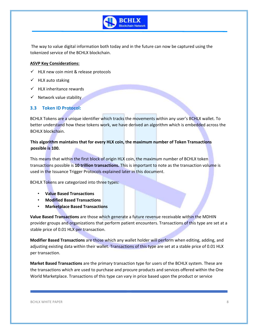

The way to value digital information both today and in the future can now be captured using the tokenized service of the BCHLX blockchain.

#### **ASVP Key Considerations:**

 $\checkmark$  HLX new coin mint & release protocols

- $\checkmark$  HLX auto staking
- $\checkmark$  HLX inheritance rewards
- $\checkmark$  Network value stability

#### <span id="page-8-0"></span>**3.3 Token ID Protocol:**

BCHLX Tokens are a unique identifier which tracks the movements within any user's BCHLX wallet. To better understand how these tokens work, we have derived an algorithm which is embedded across the BCHLX blockchain.

### **This algorithm maintains that for every HLX coin, the maximum number of Token Transactions possible is 100.**

This means that within the first block of origin HLX coin, the maximum number of BCHLX token transactions possible is **10 trillion transactions.** This is important to note as the transaction volume is used in the Issuance Trigger Protocols explained later in this document.

BCHLX Tokens are categorized into three types:

- **Value Based Transactions**
- **Modified Based Transactions**
- **Marketplace Based Transactions**

**Value Based Transactions** are those which generate a future revenue receivable within the MDHIN provider groups and organizations that perform patient encounters. Transactions of this type are set at a stable price of 0.01 HLX per transaction.

**Modifier Based Transactions** are those which any wallet holder will perform when editing, adding, and adjusting existing data within their wallet. Transactions of this type are set at a stable price of 0.01 HLX per transaction.

**Market Based Transactions** are the primary transaction type for users of the BCHLX system. These are the transactions which are used to purchase and procure products and services offered within the One World Marketplace. Transactions of this type can vary in price based upon the product or service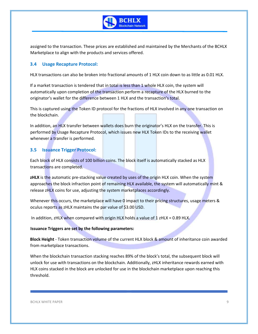

assigned to the transaction. These prices are established and maintained by the Merchants of the BCHLX Marketplace to align with the products and services offered.

#### <span id="page-9-0"></span>**3.4 Usage Recapture Protocol:**

HLX transactions can also be broken into fractional amounts of 1 HLX coin down to as little as 0.01 HLX.

If a market transaction is tendered that in total is less than 1 whole HLX coin, the system will automatically upon completion of the transaction perform a recapture of the HLX burned to the originator's wallet for the difference between 1 HLX and the transaction's total.

This is captured using the Token ID protocol for the fractions of HLX involved in any one transaction on the blockchain.

In addition, an HLX transfer between wallets does burn the originator's HLX on the transfer. This is performed by Usage Recapture Protocol, which issues new HLX Token IDs to the receiving wallet whenever a transfer is performed.

### <span id="page-9-1"></span>**3.5 Issuance Trigger Protocol:**

Each block of HLX consists of 100 billion coins. The block itself is automatically stacked as HLX transactions are completed.

**zHLX** is the automatic pre-stacking value created by uses of the origin HLX coin. When the system approaches the block infraction point of remaining HLX available, the system will automatically mint & release zHLX coins for use, adjusting the system marketplaces accordingly.

Whenever this occurs, the marketplace will have 0 impact to their pricing structures, usage meters & oculus reports as zHLX maintains the par value of \$3.00 USD.

In addition, zHLX when compared with origin HLX holds a value of  $1$  zHLX = 0.89 HLX.

#### **Issuance Triggers are set by the following parameters:**

**Block Height** - Token transaction volume of the current HLX block & amount of inheritance coin awarded from marketplace transactions.

When the blockchain transaction stacking reaches 89% of the block's total, the subsequent block will unlock for use with transactions on the blockchain. Additionally, zHLX inheritance rewards earned with HLX coins stacked in the block are unlocked for use in the blockchain marketplace upon reaching this threshold.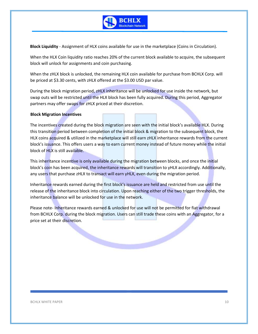

**Block Liquidity** - Assignment of HLX coins available for use in the marketplace (Coins in Circulation).

When the HLX Coin liquidity ratio reaches 20% of the current block available to acquire, the subsequent block will unlock for assignments and coin purchasing.

When the zHLX block is unlocked, the remaining HLX coin available for purchase from BCHLX Corp. will be priced at \$3.30 cents, with zHLX offered at the \$3.00 USD par value.

During the block migration period, zHLX inheritance will be unlocked for use inside the network, but swap outs will be restricted until the HLX block has been fully acquired. During this period, Aggregator partners may offer swaps for zHLX priced at their discretion.

#### **Block Migration Incentives**

The incentives created during the block migration are seen with the initial block's available HLX. During this transition period between completion of the initial block & migration to the subsequent block, the HLX coins acquired & utilized in the marketplace will still earn zHLX inheritance rewards from the current block's issuance. This offers users a way to earn current money instead of future money while the initial block of HLX is still available.

This inheritance incentive is only available during the migration between blocks, and once the initial block's coin has been acquired, the inheritance rewards will transition to yHLX accordingly. Additionally, any users that purchase zHLX to transact will earn yHLX, even during the migration period.

Inheritance rewards earned during the first block's issuance are held and restricted from use until the release of the inheritance block into circulation. Upon reaching either of the two trigger thresholds, the inheritance balance will be unlocked for use in the network.

Please note- Inheritance rewards earned & unlocked for use will not be permitted for fiat withdrawal from BCHLX Corp. during the block migration. Users can still trade these coins with an Aggregator, for a price set at their discretion.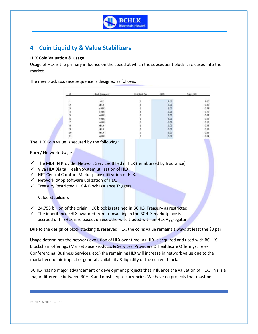

# <span id="page-11-0"></span>**4 Coin Liquidity & Value Stabilizers**

#### **HLX Coin Valuation & Usage**

Usage of HLX is the primary influence on the speed at which the subsequent block is released into the market.

The new block issuance sequence is designed as follows:

|    | Block Sequence        | <b>HLXBock Par</b> | USD- | Origin HLX |
|----|-----------------------|--------------------|------|------------|
|    | 122510<br><b>HILX</b> |                    | 3.00 | 1.00       |
|    | aHDC                  |                    | 3.00 | 0.89       |
|    | vHLX                  |                    | 3.00 | 0.79       |
|    | <b>XHLX</b>           |                    | 3.00 | 0.70       |
|    | <b>WHLX</b>           |                    | 3.00 | 0,63       |
|    | vHLX                  |                    | 3.00 | 0.56       |
|    | uHLX                  |                    | 3.00 | 0.50       |
|    | tHLX                  |                    | 3.00 | 0.44       |
| ٩  | sHLX                  |                    | 3.00 | 0.39       |
| 10 | rHLX                  |                    | 3.00 | 0.35       |
| 11 | oHLX                  |                    | 3.00 | 0.31       |

The HLX Coin value is secured by the following:

#### Burn / Network Usage

- ✓ The MDHIN Provider Network Services Billed in HLX (reimbursed by Insurance)
- ✓ Viva HLX Digital Health System utilization of HLX.
- ✓ NFT Central Curators Marketplace utilization of HLX.
- $\checkmark$  Network dApp software utilization of HLX.
- ✓ Treasury Restricted HLX & Block Issuance Triggers

#### Value Stabilizers

- $\checkmark$  24.753 billion of the origin HLX block is retained in BCHLX Treasury as restricted.
- $\checkmark$  The inheritance zHLX awarded from transacting in the BCHLX marketplace is accrued until zHLX is released, unless otherwise traded with an HLX Aggregator.

Due to the design of block stacking & reserved HLX, the coins value remains always at least the \$3 par.

Usage determines the network evolution of HLX over time. As HLX is acquired and used with BCHLX Blockchain offerings (Marketplace Products & Services, Providers & Healthcare Offerings, Tele-Conferencing, Business Services, etc.) the remaining HLX will increase in network value due to the market economic impact of general availability & liquidity of the current block.

BCHLX has no major advancement or development projects that influence the valuation of HLX. This is a major difference between BCHLX and most crypto currencies. We have no projects that must be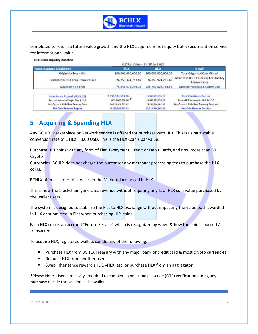

completed to return a future value growth and the HLX acquired is not equity but a securitization service for informational value.

**HLX Block Liquidity Baseline** 

| HLX Par Value = 3 USD to 1 HLX |                    |                                                          |
|--------------------------------|--------------------|----------------------------------------------------------|
| <b>HLX</b>                     | <b>USD</b>         | <b>Detail</b>                                            |
| 100,000,000,000.00             | 300,000,000,000.00 | Total Origin HLX Coin Minted                             |
| 24,753,324,753.82              | 74,259,974,261.46  | Retained in BCHLX Treasury For Stability<br>& Governance |
| 75,246,675,246.18              | 225,740,025,738.54 | Open for Purchase & System Uses                          |
| 7,333,333,333,26               | 21.999.999.999.78  | <b>Total Inheritance Accrual</b>                         |
| 6,526,666,666.60               | 21,999,999,999.78  | Total zHLX Accrual in HLX & USD                          |
| 24,753,324,753.82              | 74,259,974,261.46  | Less System Stabilizer Treasury Reserves                 |
| 18, 226, 658, 087.22           | 15,519,974,262.05  | <b>Net Coin Reserve Surplus</b>                          |
|                                |                    |                                                          |

# <span id="page-12-0"></span>**5 Acquiring & Spending HLX**

Any BCHLX Marketplace or Network service is offered for purchase with HLX. This is using a stable conversion rate of 1 HLX = 3.00 USD. This is the HLX Coin's par value.

Purchase HLX coins with any form of Fiat, E-payment, Credit or Debit Cards, and now more than 50 Crypto

Currencies. BCHLX does not charge the purchaser any merchant processing fees to purchase the HLX coins.

BCHLX offers a series of services in the Marketplace priced in HLX.

This is how the blockchain generates revenue without requiring any % of HLX coin value purchased by the wallet users.

The system is designed to stabilize the Fiat to HLX exchange without impacting the value both awarded in HLX or submitted in Fiat when purchasing HLX coins.

Each HLX coin is an accrued "Future Service" which is recognized by when & how the coin is burned / transacted.

To acquire HLX, registered wallets can do any of the following:

- Purchase HLX from BCHLX Treasury with any major bank or credit card & most crypto currencies
- Request HLX from another user
- Swap inheritance reward zHLX, yHLX, etc. or purchase HLX from an aggregator

\*Please Note- Users are always required to complete a one-time passcode (OTP) verification during any purchase or sale transaction in the wallet.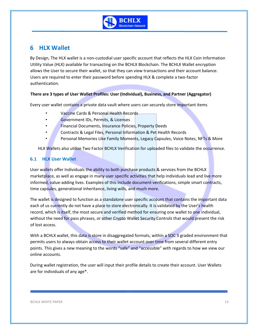

# <span id="page-13-0"></span>**6 HLX Wallet**

By Design, The HLX wallet is a non-custodial user specific account that reflects the HLX Coin Information Utility Value (HLX) available for transacting on the BCHLX Blockchain. The BCHLX Wallet encryption allows the User to secure their wallet, so that they can view transactions and their account balance. Users are required to enter their password before spending HLX & complete a two-factor authentication.

### **There are 3 types of User Wallet Profiles: User (Individual), Business, and Partner (Aggregator)**

Every user wallet contains a private data vault where users can securely store important items

- Vaccine Cards & Personal Health Records
- Government IDs, Permits, & Licenses

- Financial Documents, Insurance Policies, Property Deeds
- Contracts & Legal Files, Personal Information & Pet Health Records
- Personal Memories Like Family Moments, Legacy Capsules, Voice Notes, NFTs & More

HLX Wallets also utilize Two Factor BCHLX Verification for uploaded files to validate the occurrence.

## <span id="page-13-1"></span>**6.1 HLX User Wallet**

User wallets offer Individuals the ability to both purchase products & services from the BCHLX marketplace, as well as engage in many user specific activities that help individuals lead and live more informed, value-adding lives. Examples of this include document verifications, simple smart contracts, time capsules, generational inheritance, living wills, and much more.

The wallet is designed to function as a standalone user specific account that contains the important data each of us currently do not have a place to store electronically. It is validated by the User's health record, which is itself, the most secure and verified method for ensuring one wallet to one individual, without the need for pass phrases, or other Crypto Wallet Security Controls that would present the risk of lost access.

With a BCHLX wallet, this data is store in disaggregated formats, within a SOC 3 graded environment that permits users to always obtain access to their wallet account over time from several different entry points. This gives a new meaning to the words "safe" and "accessible" with regards to how we view our online accounts.

During wallet registration, the user will input their profile details to create their account. User Wallets are for individuals of any age\*.

BCHLX WHITE PAPER 13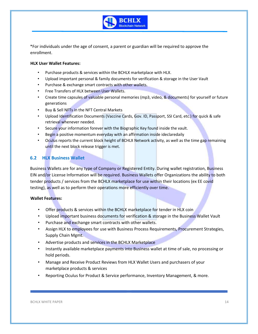

\*For individuals under the age of consent, a parent or guardian will be required to approve the enrollment.

#### **HLX User Wallet Features:**

- Purchase products & services within the BCHLX marketplace with HLX.
- Upload important personal & family documents for verification & storage in the User Vault
- Purchase & exchange smart contracts with other wallets.
- Free Transfers of HLX between User Wallets.

- Create time capsules of valuable personal memories (mp3, video, & documents) for yourself or future generations
- Buy & Sell NFTs in the NFT Central Markets
- Upload Identification Documents (Vaccine Cards, Gov. ID, Passport, SSI Card, etc.) for quick & safe retrieval whenever needed.
- Secure your information forever with the Biographic Key found inside the vault.
- Begin a positive momentum everyday with an affirmation inside ideclaredaily
- Oculus reports the current block height of BCHLX Network activity, as well as the time gap remaining until the next block release trigger is met.

#### <span id="page-14-0"></span>**6.2 HLX Business Wallet**

Business Wallets are for any type of Company or Registered Entity. During wallet registration, Business EIN and/or License Information will be required. Business Wallets offer Organizations the ability to both tender products / services from the BCHLX marketplace for use within their locations (ex EE covid testing), as well as to perform their operations more efficiently over time.

#### **Wallet Features:**

- Offer products & services within the BCHLX marketplace for tender in HLX coin
- Upload important business documents for verification & storage in the Business Wallet Vault
- Purchase and exchange smart contracts with other wallets.
- Assign HLX to employees for use with Business Process Requirements, Procurement Strategies, Supply Chain Mgmt.
- Advertise products and services in the BCHLX Marketplace
- Instantly available marketplace payments into Business wallet at time of sale, no processing or hold periods.
- Manage and Receive Product Reviews from HLX Wallet Users and purchasers of your marketplace products & services
- Reporting Oculus for Product & Service performance, Inventory Management, & more.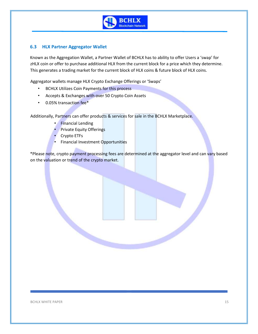

### <span id="page-15-0"></span>**6.3 HLX Partner Aggregator Wallet**

Known as the Aggregation Wallet, a Partner Wallet of BCHLX has to ability to offer Users a 'swap' for zHLX coin or offer to purchase additional HLX from the current block for a price which they determine. This generates a trading market for the current block of HLX coins & future block of HLX coins.

Aggregator wallets manage HLX Crypto Exchange Offerings or 'Swaps'

• BCHLX Utilizes Coin Payments for this process

- Accepts & Exchanges with over 50 Crypto Coin Assets
- 0.05% transaction fee\*

Additionally, Partners can offer products & services for sale in the BCHLX Marketplace.

- **Financial Lending**
- **Private Equity Offerings**
- Crypto ETFs
- **•** Financial Investment Opportunities

\*Please note, crypto payment processing fees are determined at the aggregator level and can vary based on the valuation or trend of the crypto market.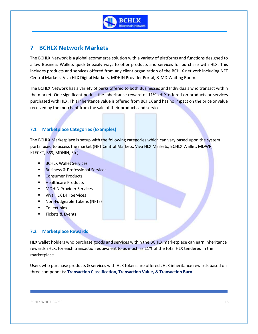

# <span id="page-16-0"></span>**7 BCHLX Network Markets**

The BCHLX Network is a global ecommerce solution with a variety of platforms and functions designed to allow Business Wallets quick & easily ways to offer products and services for purchase with HLX. This includes products and services offered from any client organization of the BCHLX network including NFT Central Markets, Viva HLX Digital Markets, MDHIN Provider Portal, & MD Waiting Room.

The BCHLX Network has a variety of perks offered to both Businesses and Individuals who transact within the market. One significant perk is the inheritance reward of 11% zHLX offered on products or services purchased with HLX. This inheritance value is offered from BCHLX and has no impact on the price or value received by the merchant from the sale of their products and services.

## <span id="page-16-1"></span>**7.1 Marketplace Categories (Examples)**

The BCHLX Marketplace is setup with the following categories which can vary based upon the system portal used to access the market (NFT Central Markets, Viva HLX Markets, BCHLX Wallet, MDWR, KLECKT, BSS, MDHIN, Etc):

- BCHLX Wallet Services
- **Business & Professional Services**
- **Consumer Products**
- Healthcare Products
- **MDHIN Provider Services**
- Viva HLX DHI Services
- Non-Fudgeable Tokens (NFTs)
- Collectibles
- **Tickets & Events**

### <span id="page-16-2"></span>**7.2 Marketplace Rewards**

HLX wallet holders who purchase goods and services within the BCHLX marketplace can earn inheritance rewards zHLX, for each transaction equivalent to as much as 11% of the total HLX tendered in the marketplace.

Users who purchase products & services with HLX tokens are offered zHLX inheritance rewards based on three components: **Transaction Classification, Transaction Value, & Transaction Burn**.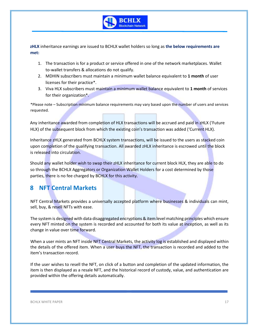

**zHLX** inheritance earnings are issued to BCHLX wallet holders so long as **the below requirements are met:**

- 1. The transaction is for a product or service offered in one of the network marketplaces. Wallet to-wallet transfers & allocations do not qualify.
- 2. MDHIN subscribers must maintain a minimum wallet balance equivalent to **1 month** of user licenses for their practice\*.
- 3. Viva HLX subscribers must maintain a minimum wallet balance equivalent to **1 month** of services for their organization\*.

\*Please note – Subscription minimum balance requirements may vary based upon the number of users and services requested.

Any inheritance awarded from completion of HLX transactions will be accrued and paid in zHLX ('Future HLX) of the subsequent block from which the existing coin's transaction was added ('Current HLX).

Inheritance zHLX generated from BCHLX system transactions, will be issued to the users as stacked coin upon completion of the qualifying transaction. All awarded zHLX inheritance is escrowed until the block is released into circulation.

Should any wallet holder wish to swap their zHLX inheritance for current block HLX, they are able to do so through the BCHLX Aggregators or Organization Wallet Holders for a cost determined by those parties, there is no fee charged by BCHLX for this activity.

# <span id="page-17-0"></span>**8 NFT Central Markets**

NFT Central Markets provides a universally accepted platform where businesses & individuals can mint, sell, buy, & resell NFTs with ease.

The system is designed with data disaggregated encryptions & item level matching principles which ensure every NFT minted on the system is recorded and accounted for both its value at inception, as well as its change in value over time forward.

When a user mints an NFT inside NFT Central Markets, the activity log is established and displayed within the details of the offered item. When a user buys the NFT, the transaction is recorded and added to the item's transaction record.

If the user wishes to resell the NFT, on click of a button and completion of the updated information, the item is then displayed as a resale NFT, and the historical record of custody, value, and authentication are provided within the offering details automatically.

#### BCHLX WHITE PAPER 17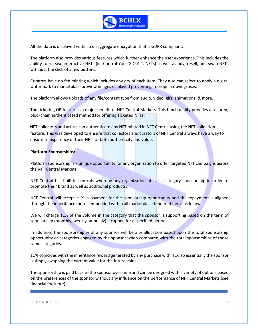

All the data is displayed within a disaggregate encryption that is GDPR compliant.

The platform also provides various features which further enhance the user experience. This includes the ability to release interactive NFTs (ie. Control Your G.O.A.T. NFTs) as well as buy, resell, and swap NFTs with just the click of a few buttons.

Curators have no fee minting which includes any qty of each item. They also can select to apply a digital watermark to marketplace preview images displayed preventing improper copying/uses.

The platform allows uploads of any file/content type from audio, video, gifs, animations, & more.

The ticketing QR feature is a major benefit of NFT Central Markets. This functionality provides a secured, blockchain authenticated method for offering Ticketed NFTs.

NFT collectors and artists can authenticate any NFT minted in NFT Central using the NFT validation feature. This was developed to ensure that collectors and curators of NFT Central always have a way to ensure transparency of their NFT for both authenticity and value.

#### **Platform Sponsorships:**

Platform sponsorship is a unique opportunity for any organization to offer targeted NFT campaigns across the NFT Central Markets.

NFT Central has built-in controls whereby any organization utilize a category sponsorship in order to promote their brand as well as additional products.

NFT Central will accept HLX in payment for the sponsorship opportunity and the repayment is aligned through the inheritance metric embedded within all marketplace tendered items as follows.

We will charge 11% of the volume in the category that the sponsor is supporting based on the term of sponsorship (monthly, weekly, annually) if capped for a specified period.

In addition, the sponsorship % of any sponsor will be a % allocation based upon the total sponsorship opportunity or categories engaged by the sponsor when compared with the total sponsorships of those same categories.

11% coincides with the inheritance reward generated by any purchase with HLX, so essentially the sponsor is simply swapping the current value for the future value.

The sponsorship is paid back to the sponsor over time and can be designed with a variety of options based on the preferences of the sponsor without any influence on the performance of NFT Central Markets (see financial footnote).

BCHLX WHITE PAPER 18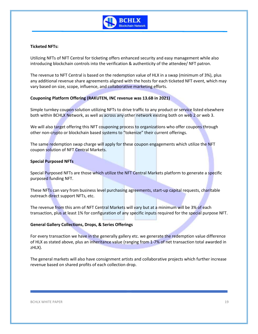

#### **Ticketed NFTs:**

Utilizing NFTs of NFT Central for ticketing offers enhanced security and easy management while also introducing blockchain controls into the verification & authenticity of the attendee/ NFT patron.

The revenue to NFT Central is based on the redemption value of HLX in a swap (minimum of 3%), plus any additional revenue share agreements aligned with the hosts for each ticketed NFT event, which may vary based on size, scope, influence, and collaborative marketing efforts.

#### **Couponing Platform Offering (RAKUTEN, INC revenue was 13.6B in 2021)**

Simple turnkey coupon solution utilizing NFTs to drive traffic to any product or service listed elsewhere both within BCHLX Network, as well as across any other network existing both on web 2 or web 3.

We will also target offering this NFT couponing process to organizations who offer coupons through other non-crypto or blockchain based systems to "tokenize" their current offerings.

The same redemption swap charge will apply for these coupon engagements which utilize the NFT coupon solution of NFT Central Markets.

#### **Special Purposed NFTs**

Special Purposed NFTs are those which utilize the NFT Central Markets platform to generate a specific purposed funding NFT.

These NFTs can vary from business level purchasing agreements, start-up capital requests, charitable outreach direct support NFTs, etc.

The revenue from this arm of NFT Central Markets will vary but at a minimum will be 3% of each transaction, plus at least 1% for configuration of any specific inputs required for the special purpose NFT.

#### **General Gallery Collections, Drops, & Series Offerings**

For every transaction we have in the generally gallery etc. we generate the redemption value difference of HLX as stated above, plus an inheritance value (ranging from 1-7% of net transaction total awarded in zHLX).

The general markets will also have consignment artists and collaborative projects which further increase revenue based on shared profits of each collection drop.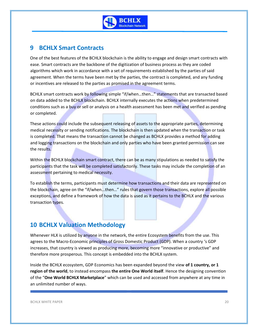

# <span id="page-20-0"></span>**9 BCHLX Smart Contracts**

One of the best features of the BCHLX blockchain is the ability to engage and design smart contracts with ease. Smart contracts are the backbone of the digitization of business process as they are coded algorithms which work in accordance with a set of requirements established by the parties of said agreement. When the terms have been met by the parties, the contract is completed, and any funding or incentives are released to the parties as promised in the agreement terms.

BCHLX smart contracts work by following simple "if/when…then…" statements that are transacted based on data added to the BCHLX blockchain. BCHLX internally executes the actions when predetermined conditions such as a buy or sell or analysis on a health assessment has been met and verified as pending or completed.

These actions could include the subsequent releasing of assets to the appropriate parties, determining medical necessity or sending notifications. The blockchain is then updated when the transaction or task is completed. That means the transaction cannot be changed as BCHLX provides a method for adding and logging transactions on the blockchain and only parties who have been granted permission can see the results.

Within the BCHLX blockchain smart contract, there can be as many stipulations as needed to satisfy the participants that the task will be completed satisfactorily. These tasks may include the completion of an assessment pertaining to medical necessity.

To establish the terms, participants must determine how transactions and their data are represented on the blockchain, agree on the "if/when...then…" rules that govern those transactions, explore all possible exceptions, and define a framework of how the data is used as it pertains to the BCHLX and the various transaction types.

# <span id="page-20-1"></span>**10 BCHLX Valuation Methodology**

Whenever HLX is utilized by anyone in the network, the entire Ecosystem benefits from the use. This agrees to the Macro-Economic principles of Gross Domestic Product (GDP). When a country 's GDP increases, that country is viewed as producing more, becoming more "innovative or productive" and therefore more prosperous. This concept is embedded into the BCHLX system.

Inside the BCHLX ecosystem, GDP Economics has been expanded beyond the view **of 1 country, or 1 region of the world**, to instead encompass **the entire One World itself**. Hence the designing convention of the "**One World BCHLX Marketplace**" which can be used and accessed from anywhere at any time in an unlimited number of ways.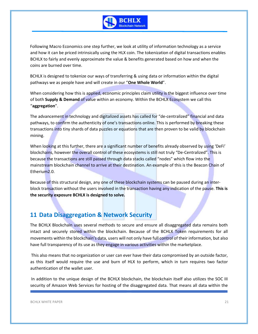

Following Macro Economics one step further, we look at utility of information technology as a service and how it can be priced intrinsically using the HLX coin. The tokenization of digital transactions enables BCHLX to fairly and evenly approximate the value & benefits generated based on how and when the coins are burned over time.

BCHLX is designed to tokenize our ways of transferring & using data or information within the digital pathways we as people have and will create in our "**One Whole World**".

When considering how this is applied, economic principles claim utility is the biggest influence over time of both **Supply & Demand** of value within an economy. Within the BCHLX Ecosystem we call this "**aggregation**".

The advancement in technology and digitalized assets has called for "de-centralized" financial and data pathways, to confirm the authenticity of one's transactions online. This is performed by breaking these transactions into tiny shards of data puzzles or equations that are then proven to be valid by blockchain mining.

When looking at this further, there are a significant number of benefits already observed by using 'DeFi' blockchains, however the overall control of these ecosystems is still not truly "De-Centralized". This is because the transactions are still passed through data stacks called "nodes" which flow into the mainstream blockchain channel to arrive at their destination. An example of this is the Beacon Chain of Etherium2.0.

Because of this structural design, any one of these blockchain systems can be paused during an interblock transaction without the users involved in the transaction having any indication of the pause. **This is the security exposure BCHLX is designed to solve.** 

# <span id="page-21-0"></span>**11 Data Disaggregation & Network Security**

The BCHLX Blockchain uses several methods to secure and ensure all disaggregated data remains both intact and securely stored within the blockchain. Because of the BCHLX Token requirements for all movements within the blockchain's data, users will not only have full control of their information, but also have full transparency of its use as they engage in various activities within the marketplace.

This also means that no organization or user can ever have their data compromised by an outside factor, as this itself would require the use and burn of HLX to perform, which in turn requires two factor authentication of the wallet user.

In addition to the unique design of the BCHLX blockchain, the blockchain itself also utilizes the SOC III security of Amazon Web Services for hosting of the disaggregated data. That means all data within the